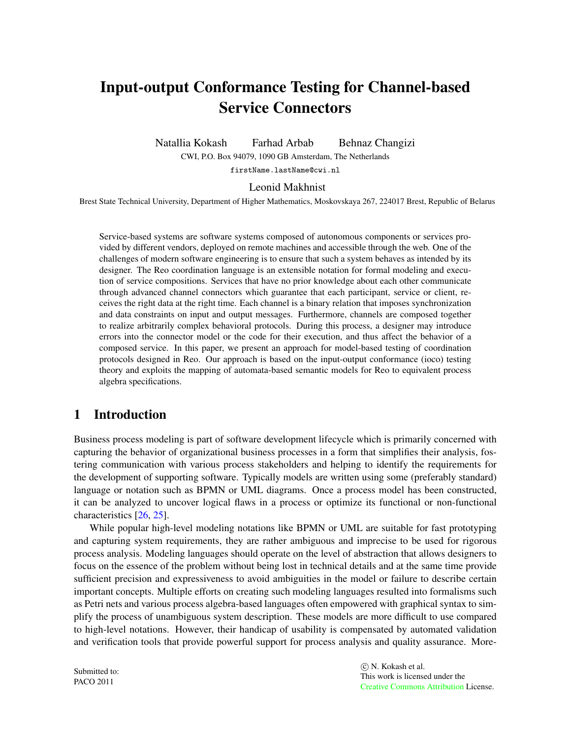# Input-output Conformance Testing for Channel-based Service Connectors

Natallia Kokash Farhad Arbab Behnaz Changizi

CWI, P.O. Box 94079, 1090 GB Amsterdam, The Netherlands

firstName.lastName@cwi.nl

#### Leonid Makhnist

Brest State Technical University, Department of Higher Mathematics, Moskovskaya 267, 224017 Brest, Republic of Belarus

Service-based systems are software systems composed of autonomous components or services provided by different vendors, deployed on remote machines and accessible through the web. One of the challenges of modern software engineering is to ensure that such a system behaves as intended by its designer. The Reo coordination language is an extensible notation for formal modeling and execution of service compositions. Services that have no prior knowledge about each other communicate through advanced channel connectors which guarantee that each participant, service or client, receives the right data at the right time. Each channel is a binary relation that imposes synchronization and data constraints on input and output messages. Furthermore, channels are composed together to realize arbitrarily complex behavioral protocols. During this process, a designer may introduce errors into the connector model or the code for their execution, and thus affect the behavior of a composed service. In this paper, we present an approach for model-based testing of coordination protocols designed in Reo. Our approach is based on the input-output conformance (ioco) testing theory and exploits the mapping of automata-based semantic models for Reo to equivalent process algebra specifications.

# 1 Introduction

Business process modeling is part of software development lifecycle which is primarily concerned with capturing the behavior of organizational business processes in a form that simplifies their analysis, fostering communication with various process stakeholders and helping to identify the requirements for the development of supporting software. Typically models are written using some (preferably standard) language or notation such as BPMN or UML diagrams. Once a process model has been constructed, it can be analyzed to uncover logical flaws in a process or optimize its functional or non-functional characteristics [\[26,](#page-16-0) [25\]](#page-16-1).

While popular high-level modeling notations like BPMN or UML are suitable for fast prototyping and capturing system requirements, they are rather ambiguous and imprecise to be used for rigorous process analysis. Modeling languages should operate on the level of abstraction that allows designers to focus on the essence of the problem without being lost in technical details and at the same time provide sufficient precision and expressiveness to avoid ambiguities in the model or failure to describe certain important concepts. Multiple efforts on creating such modeling languages resulted into formalisms such as Petri nets and various process algebra-based languages often empowered with graphical syntax to simplify the process of unambiguous system description. These models are more difficult to use compared to high-level notations. However, their handicap of usability is compensated by automated validation and verification tools that provide powerful support for process analysis and quality assurance. More-

Submitted to: PACO 2011

 $(c)$  N. Kokash et al. This work is licensed under the [Creative Commons](http://creativecommons.org) [Attribution](http://creativecommons.org/licenses/by/3.0/) License.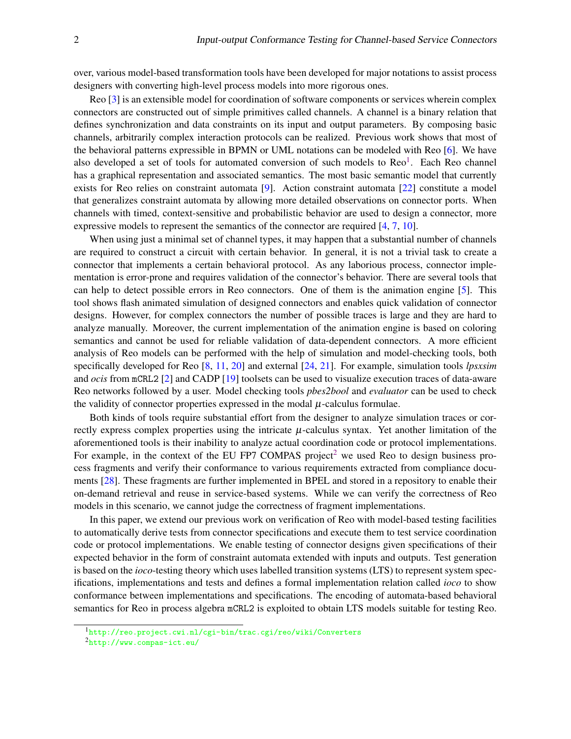over, various model-based transformation tools have been developed for major notations to assist process designers with converting high-level process models into more rigorous ones.

Reo [\[3\]](#page-15-0) is an extensible model for coordination of software components or services wherein complex connectors are constructed out of simple primitives called channels. A channel is a binary relation that defines synchronization and data constraints on its input and output parameters. By composing basic channels, arbitrarily complex interaction protocols can be realized. Previous work shows that most of the behavioral patterns expressible in BPMN or UML notations can be modeled with Reo [\[6\]](#page-15-1). We have also developed a set of tools for automated conversion of such models to Reo<sup>[1](#page-1-0)</sup>. Each Reo channel has a graphical representation and associated semantics. The most basic semantic model that currently exists for Reo relies on constraint automata [\[9\]](#page-15-2). Action constraint automata [\[22\]](#page-16-2) constitute a model that generalizes constraint automata by allowing more detailed observations on connector ports. When channels with timed, context-sensitive and probabilistic behavior are used to design a connector, more expressive models to represent the semantics of the connector are required [\[4,](#page-15-3) [7,](#page-15-4) [10\]](#page-15-5).

When using just a minimal set of channel types, it may happen that a substantial number of channels are required to construct a circuit with certain behavior. In general, it is not a trivial task to create a connector that implements a certain behavioral protocol. As any laborious process, connector implementation is error-prone and requires validation of the connector's behavior. There are several tools that can help to detect possible errors in Reo connectors. One of them is the animation engine [\[5\]](#page-15-6). This tool shows flash animated simulation of designed connectors and enables quick validation of connector designs. However, for complex connectors the number of possible traces is large and they are hard to analyze manually. Moreover, the current implementation of the animation engine is based on coloring semantics and cannot be used for reliable validation of data-dependent connectors. A more efficient analysis of Reo models can be performed with the help of simulation and model-checking tools, both specifically developed for Reo [\[8,](#page-15-7) [11,](#page-15-8) [20\]](#page-16-3) and external [\[24,](#page-16-4) [21\]](#page-16-5). For example, simulation tools *lpsxsim* and *ocis* from mCRL2 [\[2\]](#page-15-9) and CADP [\[19\]](#page-16-6) toolsets can be used to visualize execution traces of data-aware Reo networks followed by a user. Model checking tools *pbes2bool* and *evaluator* can be used to check the validity of connector properties expressed in the modal  $\mu$ -calculus formulae.

Both kinds of tools require substantial effort from the designer to analyze simulation traces or correctly express complex properties using the intricate  $\mu$ -calculus syntax. Yet another limitation of the aforementioned tools is their inability to analyze actual coordination code or protocol implementations. For example, in the context of the EU FP7 COMPAS project<sup>[2](#page-1-1)</sup> we used Reo to design business process fragments and verify their conformance to various requirements extracted from compliance documents [\[28\]](#page-16-7). These fragments are further implemented in BPEL and stored in a repository to enable their on-demand retrieval and reuse in service-based systems. While we can verify the correctness of Reo models in this scenario, we cannot judge the correctness of fragment implementations.

In this paper, we extend our previous work on verification of Reo with model-based testing facilities to automatically derive tests from connector specifications and execute them to test service coordination code or protocol implementations. We enable testing of connector designs given specifications of their expected behavior in the form of constraint automata extended with inputs and outputs. Test generation is based on the *ioco*-testing theory which uses labelled transition systems (LTS) to represent system specifications, implementations and tests and defines a formal implementation relation called *ioco* to show conformance between implementations and specifications. The encoding of automata-based behavioral semantics for Reo in process algebra mCRL2 is exploited to obtain LTS models suitable for testing Reo.

<span id="page-1-0"></span><sup>1</sup><http://reo.project.cwi.nl/cgi-bin/trac.cgi/reo/wiki/Converters>

<span id="page-1-1"></span> $^{2}$ <http://www.compas-ict.eu/>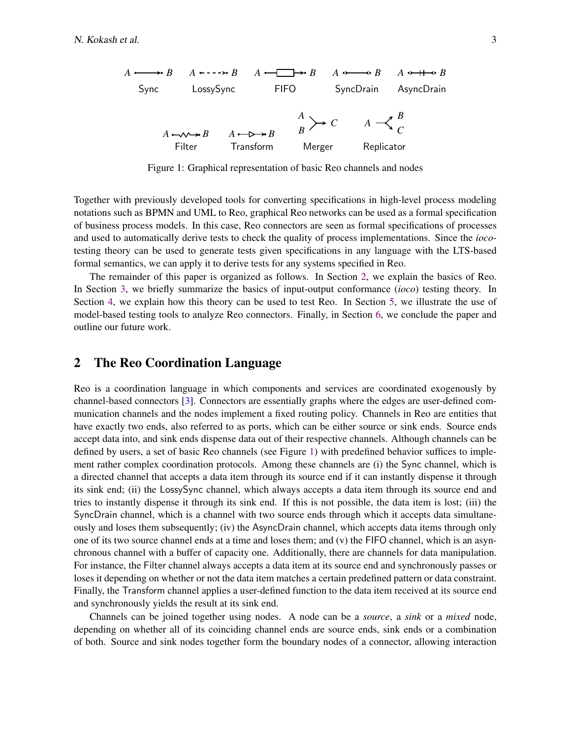

<span id="page-2-1"></span>Figure 1: Graphical representation of basic Reo channels and nodes

Together with previously developed tools for converting specifications in high-level process modeling notations such as BPMN and UML to Reo, graphical Reo networks can be used as a formal specification of business process models. In this case, Reo connectors are seen as formal specifications of processes and used to automatically derive tests to check the quality of process implementations. Since the *ioco*testing theory can be used to generate tests given specifications in any language with the LTS-based formal semantics, we can apply it to derive tests for any systems specified in Reo.

The remainder of this paper is organized as follows. In Section [2,](#page-2-0) we explain the basics of Reo. In Section [3,](#page-7-0) we briefly summarize the basics of input-output conformance (*ioco*) testing theory. In Section [4,](#page-10-0) we explain how this theory can be used to test Reo. In Section [5,](#page-13-0) we illustrate the use of model-based testing tools to analyze Reo connectors. Finally, in Section [6,](#page-15-10) we conclude the paper and outline our future work.

### <span id="page-2-0"></span>2 The Reo Coordination Language

Reo is a coordination language in which components and services are coordinated exogenously by channel-based connectors [\[3\]](#page-15-0). Connectors are essentially graphs where the edges are user-defined communication channels and the nodes implement a fixed routing policy. Channels in Reo are entities that have exactly two ends, also referred to as ports, which can be either source or sink ends. Source ends accept data into, and sink ends dispense data out of their respective channels. Although channels can be defined by users, a set of basic Reo channels (see Figure [1\)](#page-2-1) with predefined behavior suffices to implement rather complex coordination protocols. Among these channels are (i) the Sync channel, which is a directed channel that accepts a data item through its source end if it can instantly dispense it through its sink end; (ii) the LossySync channel, which always accepts a data item through its source end and tries to instantly dispense it through its sink end. If this is not possible, the data item is lost; (iii) the SyncDrain channel, which is a channel with two source ends through which it accepts data simultaneously and loses them subsequently; (iv) the AsyncDrain channel, which accepts data items through only one of its two source channel ends at a time and loses them; and (v) the FIFO channel, which is an asynchronous channel with a buffer of capacity one. Additionally, there are channels for data manipulation. For instance, the Filter channel always accepts a data item at its source end and synchronously passes or loses it depending on whether or not the data item matches a certain predefined pattern or data constraint. Finally, the Transform channel applies a user-defined function to the data item received at its source end and synchronously yields the result at its sink end.

Channels can be joined together using nodes. A node can be a *source*, a *sink* or a *mixed* node, depending on whether all of its coinciding channel ends are source ends, sink ends or a combination of both. Source and sink nodes together form the boundary nodes of a connector, allowing interaction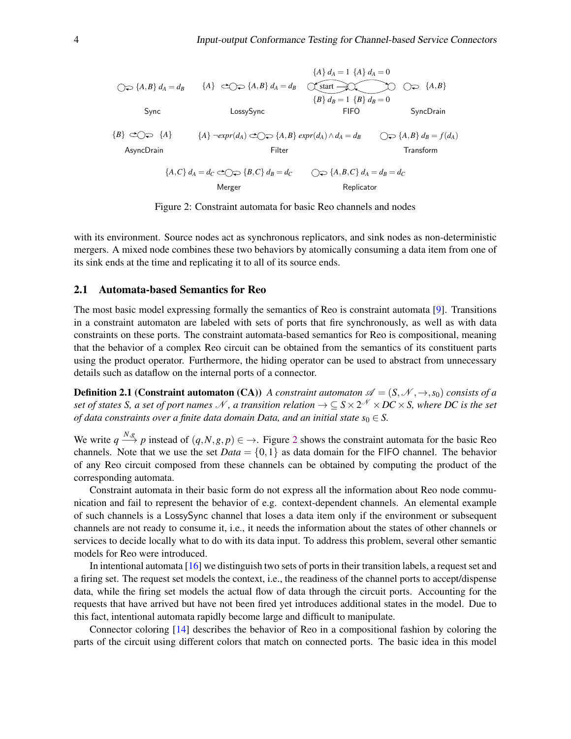$$
\{A\} d_A = 1 \{A\} d_A = 0
$$
\n
$$
\bigcirc \Rightarrow \{A, B\} d_A = d_B \qquad \{A\} \qquad \bigcirc \bigcirc \Rightarrow \{A, B\} d_A = d_B \qquad \bigcirc \text{start} \to \bigcirc \text{end}
$$
\n
$$
\{B\} d_B = 1 \{B\} d_B = 0
$$
\n
$$
\text{Sync} \qquad \text{LossySync} \qquad \text{FIFO} \qquad \text{SyncDrain}
$$
\n
$$
\{B\} \qquad \bigcirc \bigcirc \Rightarrow \{A\} \qquad \{A\} \qquad \text{expr}(d_A) \qquad \bigcirc \bigcirc \Rightarrow \{A, B\} \text{expr}(d_A) \wedge d_A = d_B \qquad \bigcirc \Rightarrow \{A, B\} d_B = f(d_A)
$$
\n
$$
\text{AssyncDrain} \qquad \text{Filter} \qquad \text{Transform}
$$
\n
$$
\{A, C\} d_A = d_C \qquad \bigcirc \bigcirc \{B, C\} d_B = d_C \qquad \bigcirc \bigcirc \{A, B, C\} d_A = d_B = d_C
$$
\n
$$
\text{Merger} \qquad \text{Replicator}
$$

<span id="page-3-0"></span>Figure 2: Constraint automata for basic Reo channels and nodes

with its environment. Source nodes act as synchronous replicators, and sink nodes as non-deterministic mergers. A mixed node combines these two behaviors by atomically consuming a data item from one of its sink ends at the time and replicating it to all of its source ends.

#### 2.1 Automata-based Semantics for Reo

The most basic model expressing formally the semantics of Reo is constraint automata [\[9\]](#page-15-2). Transitions in a constraint automaton are labeled with sets of ports that fire synchronously, as well as with data constraints on these ports. The constraint automata-based semantics for Reo is compositional, meaning that the behavior of a complex Reo circuit can be obtained from the semantics of its constituent parts using the product operator. Furthermore, the hiding operator can be used to abstract from unnecessary details such as dataflow on the internal ports of a connector.

**Definition 2.1 (Constraint automaton (CA))** *A constraint automaton*  $\mathscr{A} = (S, \mathscr{N}, \rightarrow, s_0)$  *consists of a* set of states S, a set of port names N, a transition relation  $\to \subseteq S\times 2^\mathscr{N}\times DC\times S$ , where DC is the set *of data constraints over a finite data domain Data, and an initial state*  $s_0 \in S$ .

We write  $q \stackrel{N,g}{\longrightarrow} p$  instead of  $(q, N, g, p) \in \to$ . Figure [2](#page-3-0) shows the constraint automata for the basic Reo channels. Note that we use the set  $Data = \{0, 1\}$  as data domain for the FIFO channel. The behavior of any Reo circuit composed from these channels can be obtained by computing the product of the corresponding automata.

Constraint automata in their basic form do not express all the information about Reo node communication and fail to represent the behavior of e.g. context-dependent channels. An elemental example of such channels is a LossySync channel that loses a data item only if the environment or subsequent channels are not ready to consume it, i.e., it needs the information about the states of other channels or services to decide locally what to do with its data input. To address this problem, several other semantic models for Reo were introduced.

In intentional automata [\[16\]](#page-16-8) we distinguish two sets of ports in their transition labels, a request set and a firing set. The request set models the context, i.e., the readiness of the channel ports to accept/dispense data, while the firing set models the actual flow of data through the circuit ports. Accounting for the requests that have arrived but have not been fired yet introduces additional states in the model. Due to this fact, intentional automata rapidly become large and difficult to manipulate.

Connector coloring [\[14\]](#page-16-9) describes the behavior of Reo in a compositional fashion by coloring the parts of the circuit using different colors that match on connected ports. The basic idea in this model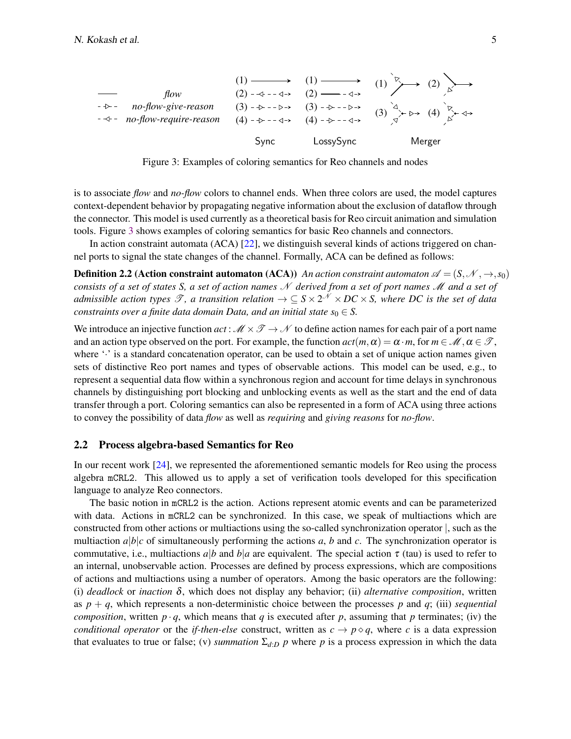

<span id="page-4-0"></span>Figure 3: Examples of coloring semantics for Reo channels and nodes

is to associate *flow* and *no-flow* colors to channel ends. When three colors are used, the model captures context-dependent behavior by propagating negative information about the exclusion of dataflow through the connector. This model is used currently as a theoretical basis for Reo circuit animation and simulation tools. Figure [3](#page-4-0) shows examples of coloring semantics for basic Reo channels and connectors.

In action constraint automata (ACA) [\[22\]](#page-16-2), we distinguish several kinds of actions triggered on channel ports to signal the state changes of the channel. Formally, ACA can be defined as follows:

**Definition 2.2 (Action constraint automaton (ACA))** *An action constraint automaton*  $\mathscr{A} = (S, \mathscr{N}, \rightarrow, s_0)$ *consists of a set of states S, a set of action names* N *derived from a set of port names* M *and a set of admissible action types*  $\mathscr{T}$ *, a transition relation*  $\to \subseteq S \times 2^\mathscr{N} \times DC \times S$ , where DC is the set of data *constraints over a finite data domain Data, and an initial state*  $s_0 \in S$ .

We introduce an injective function  $act: M \times T \rightarrow N$  to define action names for each pair of a port name and an action type observed on the port. For example, the function  $act(m, \alpha) = \alpha \cdot m$ , for  $m \in \mathcal{M}, \alpha \in \mathcal{T}$ , where  $\cdot \cdot$  is a standard concatenation operator, can be used to obtain a set of unique action names given sets of distinctive Reo port names and types of observable actions. This model can be used, e.g., to represent a sequential data flow within a synchronous region and account for time delays in synchronous channels by distinguishing port blocking and unblocking events as well as the start and the end of data transfer through a port. Coloring semantics can also be represented in a form of ACA using three actions to convey the possibility of data *flow* as well as *requiring* and *giving reasons* for *no-flow*.

#### <span id="page-4-1"></span>2.2 Process algebra-based Semantics for Reo

In our recent work [\[24\]](#page-16-4), we represented the aforementioned semantic models for Reo using the process algebra mCRL2. This allowed us to apply a set of verification tools developed for this specification language to analyze Reo connectors.

The basic notion in mCRL2 is the action. Actions represent atomic events and can be parameterized with data. Actions in mCRL2 can be synchronized. In this case, we speak of multiactions which are constructed from other actions or multiactions using the so-called synchronization operator |, such as the multiaction  $a|b|c$  of simultaneously performing the actions  $a, b$  and  $c$ . The synchronization operator is commutative, i.e., multiactions  $a|b$  and  $b|a$  are equivalent. The special action  $\tau$  (tau) is used to refer to an internal, unobservable action. Processes are defined by process expressions, which are compositions of actions and multiactions using a number of operators. Among the basic operators are the following: (i) *deadlock* or *inaction* δ, which does not display any behavior; (ii) *alternative composition*, written as *p* + *q*, which represents a non-deterministic choice between the processes *p* and *q*; (iii) *sequential composition*, written  $p \cdot q$ , which means that *q* is executed after *p*, assuming that *p* terminates; (iv) the *conditional operator* or the *if-then-else* construct, written as  $c \rightarrow p \diamond q$ , where *c* is a data expression that evaluates to true or false; (v) *summation*  $\Sigma_{d:D}$  *p* where *p* is a process expression in which the data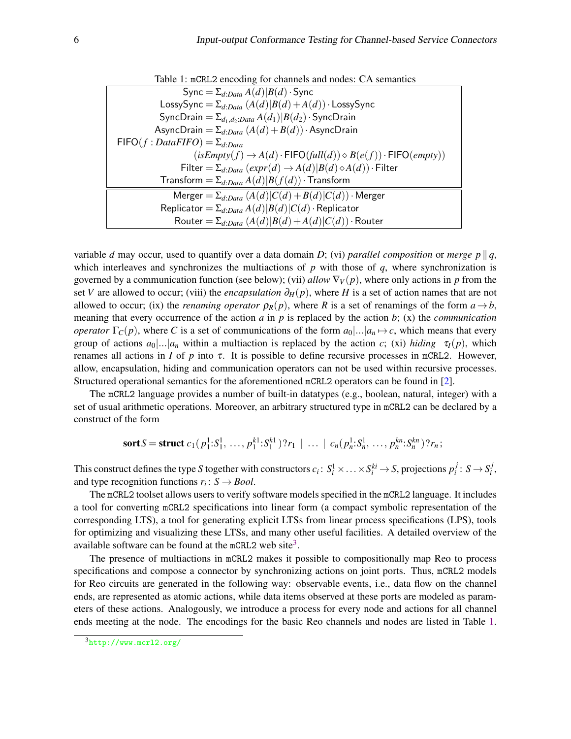<span id="page-5-1"></span>

| Table 1: mCRL2 encoding for channels and nodes: CA semantics                           |  |  |  |  |  |
|----------------------------------------------------------------------------------------|--|--|--|--|--|
| Sync = $\Sigma_{d:Data} A(d) B(d) \cdot$ Sync                                          |  |  |  |  |  |
| LossySync = $\Sigma_{d:Data}$ $(A(d) B(d)+A(d))$ · LossySync                           |  |  |  |  |  |
| SyncDrain = $\Sigma_{d_1,d_2:Data}$ $A(d_1) B(d_2) \cdot S$ yncDrain                   |  |  |  |  |  |
| AsyncDrain = $\Sigma_{d:Data}(A(d) + B(d)) \cdot$ AsyncDrain                           |  |  |  |  |  |
| $FIFO(f:DataFIFO) = \sum_{d:Data}$                                                     |  |  |  |  |  |
| $(isEmpty(f) \rightarrow A(d) \cdot FIFO(full(d)) \diamond B(e(f)) \cdot FIFO(empty))$ |  |  |  |  |  |
| Filter = $\Sigma_{d:Data}$ $(exp(d) \rightarrow A(d) B(d) \diamond A(d))$ . Filter     |  |  |  |  |  |
| Transform = $\Sigma_{d:Data} A(d) B(f(d))$ · Transform                                 |  |  |  |  |  |
| Merger $=\sum_{d:Data} (A(d) C(d)+B(d) C(d))$ Merger                                   |  |  |  |  |  |
| Replicator = $\Sigma_{d:Data} A(d) B(d) C(d) \cdot$ Replicator                         |  |  |  |  |  |
| Router = $\Sigma_{d:Data}$ $(A(d) B(d)+A(d) C(d))$ · Router                            |  |  |  |  |  |

variable *d* may occur, used to quantify over a data domain *D*; (vi) *parallel composition* or *merge*  $p \parallel q$ , which interleaves and synchronizes the multiactions of  $p$  with those of  $q$ , where synchronization is governed by a communication function (see below); (vii) *allow*  $\nabla_V(p)$ , where only actions in *p* from the set *V* are allowed to occur; (viii) the *encapsulation*  $\partial_H(p)$ , where *H* is a set of action names that are not allowed to occur; (ix) the *renaming operator*  $p_R(p)$ , where *R* is a set of renamings of the form  $a \rightarrow b$ , meaning that every occurrence of the action *a* in *p* is replaced by the action *b*; (x) the *communication operator*  $\Gamma_C(p)$ , where *C* is a set of communications of the form  $a_0$ ...| $a_n \mapsto c$ , which means that every group of actions  $a_0$ ...] $a_n$  within a multiaction is replaced by the action *c*; (xi) *hiding*  $\tau_I(p)$ , which renames all actions in *I* of *p* into τ. It is possible to define recursive processes in mCRL2. However, allow, encapsulation, hiding and communication operators can not be used within recursive processes. Structured operational semantics for the aforementioned mCRL2 operators can be found in [\[2\]](#page-15-9).

The mCRL2 language provides a number of built-in datatypes (e.g., boolean, natural, integer) with a set of usual arithmetic operations. Moreover, an arbitrary structured type in mCRL2 can be declared by a construct of the form

$$
\text{sortS} = \text{struct } c_1(p_1^1; S_1^1, \ldots, p_1^{k_1}; S_1^{k_1})?r_1 \mid \ldots \mid c_n(p_n^1; S_n^1, \ldots, p_n^{k_n}; S_n^{k_n})?r_n;
$$

This construct defines the type *S* together with constructors  $c_i$ :  $S_i^1 \times \ldots \times S_i^{ki} \to S$ , projections  $p_i^j$  $i : S \rightarrow S_i^j$ *i* , and type recognition functions  $r_i: S \rightarrow \text{Bool}$ .

The mCRL2 toolset allows users to verify software models specified in the mCRL2 language. It includes a tool for converting mCRL2 specifications into linear form (a compact symbolic representation of the corresponding LTS), a tool for generating explicit LTSs from linear process specifications (LPS), tools for optimizing and visualizing these LTSs, and many other useful facilities. A detailed overview of the available software can be found at the mCRL2 web site<sup>[3](#page-5-0)</sup>.

The presence of multiactions in mCRL2 makes it possible to compositionally map Reo to process specifications and compose a connector by synchronizing actions on joint ports. Thus, mCRL2 models for Reo circuits are generated in the following way: observable events, i.e., data flow on the channel ends, are represented as atomic actions, while data items observed at these ports are modeled as parameters of these actions. Analogously, we introduce a process for every node and actions for all channel ends meeting at the node. The encodings for the basic Reo channels and nodes are listed in Table [1.](#page-5-1)

<span id="page-5-0"></span><sup>3</sup><http://www.mcrl2.org/>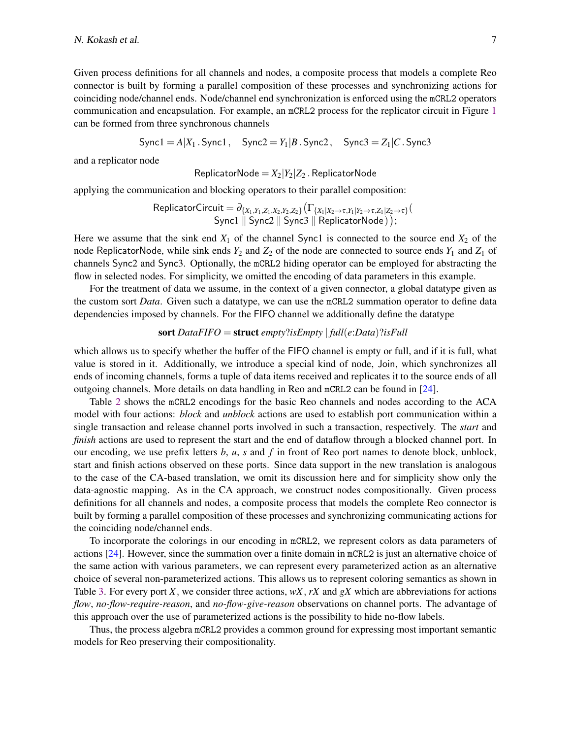Given process definitions for all channels and nodes, a composite process that models a complete Reo connector is built by forming a parallel composition of these processes and synchronizing actions for coinciding node/channel ends. Node/channel end synchronization is enforced using the mCRL2 operators communication and encapsulation. For example, an mCRL2 process for the replicator circuit in Figure [1](#page-2-1) can be formed from three synchronous channels

 $Sync1 = A|X_1 \cdot Sync1$ ,  $Sync2 = Y_1|B \cdot Sync2$ ,  $Sync3 = Z_1|C \cdot Sync3$ 

and a replicator node

ReplicatorNode =  $X_2|Y_2|Z_2$ . ReplicatorNode

applying the communication and blocking operators to their parallel composition:

$$
\begin{array}{c}\text{ReplicatorCircuit}=\partial_{\{X_1,Y_1,Z_1,X_2,Y_2,Z_2\}}\big(\Gamma_{\{X_1|X_2\rightarrow \tau,Y_1|Y_2\rightarrow \tau,Z_1|Z_2\rightarrow \tau\}}(\text{Symc1}\parallel\text{Sync2}\parallel\text{Sync3}\parallel\text{ReplicatorNode})\big);\end{array}
$$

Here we assume that the sink end  $X_1$  of the channel Sync1 is connected to the source end  $X_2$  of the node ReplicatorNode, while sink ends  $Y_2$  and  $Z_2$  of the node are connected to source ends  $Y_1$  and  $Z_1$  of channels Sync2 and Sync3. Optionally, the mCRL2 hiding operator can be employed for abstracting the flow in selected nodes. For simplicity, we omitted the encoding of data parameters in this example.

For the treatment of data we assume, in the context of a given connector, a global datatype given as the custom sort *Data*. Given such a datatype, we can use the mCRL2 summation operator to define data dependencies imposed by channels. For the FIFO channel we additionally define the datatype

#### sort *DataFIFO* = struct *empty*?*isEmpty* | *full*(*e*:*Data*)?*isFull*

which allows us to specify whether the buffer of the FIFO channel is empty or full, and if it is full, what value is stored in it. Additionally, we introduce a special kind of node, Join, which synchronizes all ends of incoming channels, forms a tuple of data items received and replicates it to the source ends of all outgoing channels. More details on data handling in Reo and mCRL2 can be found in [\[24\]](#page-16-4).

Table [2](#page-7-1) shows the mCRL2 encodings for the basic Reo channels and nodes according to the ACA model with four actions: *block* and *unblock* actions are used to establish port communication within a single transaction and release channel ports involved in such a transaction, respectively. The *start* and *finish* actions are used to represent the start and the end of dataflow through a blocked channel port. In our encoding, we use prefix letters *b*, *u*, *s* and *f* in front of Reo port names to denote block, unblock, start and finish actions observed on these ports. Since data support in the new translation is analogous to the case of the CA-based translation, we omit its discussion here and for simplicity show only the data-agnostic mapping. As in the CA approach, we construct nodes compositionally. Given process definitions for all channels and nodes, a composite process that models the complete Reo connector is built by forming a parallel composition of these processes and synchronizing communicating actions for the coinciding node/channel ends.

To incorporate the colorings in our encoding in mCRL2, we represent colors as data parameters of actions [\[24\]](#page-16-4). However, since the summation over a finite domain in mCRL2 is just an alternative choice of the same action with various parameters, we can represent every parameterized action as an alternative choice of several non-parameterized actions. This allows us to represent coloring semantics as shown in Table [3.](#page-7-2) For every port *X*, we consider three actions, *wX*, *rX* and *gX* which are abbreviations for actions *flow*, *no-flow-require-reason*, and *no-flow-give-reason* observations on channel ports. The advantage of this approach over the use of parameterized actions is the possibility to hide no-flow labels.

Thus, the process algebra mCRL2 provides a common ground for expressing most important semantic models for Reo preserving their compositionality.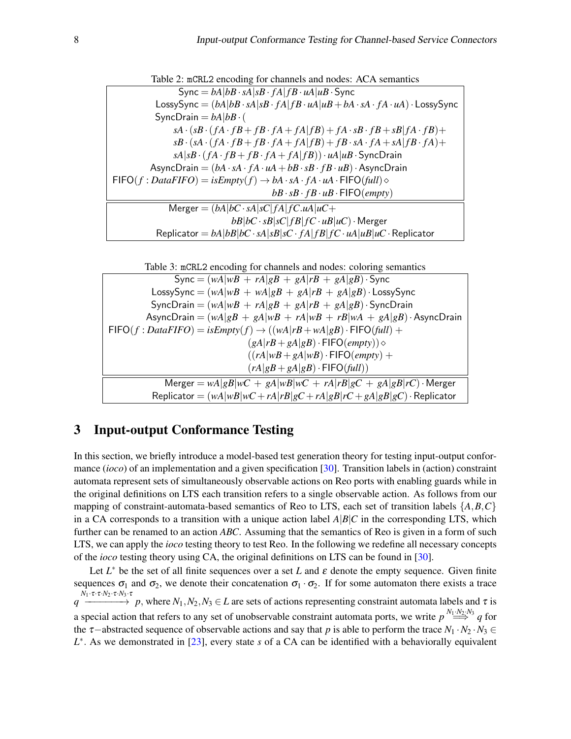<span id="page-7-1"></span>Table 2: mCRL2 encoding for channels and nodes: ACA semantics

| Sync = $bA bB \cdot sA sB \cdot fA fB \cdot uA uB \cdot$ Sync                                             |
|-----------------------------------------------------------------------------------------------------------|
| LossySync = $(bA bB \cdot sA sB \cdot fA fB \cdot uA uB + bA \cdot sA \cdot fA \cdot uA) \cdot$ LossySync |
| SyncDrain = $bA bB \cdot ($                                                                               |
| $sA \cdot (sB \cdot (fA \cdot fB + fB \cdot fA + fA fB) + fA \cdot sB \cdot fB + sB fA \cdot fB) +$       |
| $sB\cdot (sA\cdot (fA\cdot fB+fB\cdot fA+fA fB)+fB\cdot sA\cdot fA+sA fB\cdot fA)+$                       |
| $sA sB \cdot (fA \cdot fB + fB \cdot fA + fA fB)) \cdot uA uB \cdot S$ yncDrain                           |
| AsyncDrain = $(bA \cdot sA \cdot fA \cdot uA + bB \cdot sB \cdot fB \cdot uB) \cdot$ AsyncDrain           |
| $FIFO(f: Data FIFO) = isEmpty(f) \rightarrow bA \cdot sA \cdot fA \cdot uA \cdot FIFO(full) \diamond$     |
| $bB \cdot sB \cdot fB \cdot uB \cdot \text{FIFO}(empty)$                                                  |
| Merger = $(bA bC \cdot sA sC fA fC.uA uC+$                                                                |
| $bB bC \cdot sB sC fB fC \cdot uB uC) \cdot$ Merger                                                       |
| Replicator = $bA bB bC \cdot sA sB sC \cdot fA fB fC \cdot uA uB uC \cdot Replicator$                     |

<span id="page-7-2"></span>Table 3: mCRL2 encoding for channels and nodes: coloring semantics

 $\text{Symc} = (wA|wB + rA|gB + gA|rB + gA|gB) \cdot \text{Symc}$ LossySync =  $(wA|wB + wA|gB + gA|rB + gA|gB)$  · LossySync  $\text{SyncDrain} = (wA|wB + rA|gB + gA|rB + gA|gB) \cdot \text{SyncDrain}$ AsyncDrain =  $(wA|gB + gA|wB + rA|wB + rB|wA + gA|gB)$  · AsyncDrain  $FIFO(f: DataFIFO) = isEmpty(f) \rightarrow ((wA|rB + wA|gB) \cdot FIFO(full) +$  $(gA|rB+gA|gB) \cdot$ FIFO $(empty)) \diamond$  $((rA|wB+gA|wB)\cdot\text{FIFO}(empty)+$  $(rA|gB+gA|gB)\cdot$ FIFO(*full*))  $M = \frac{M}{gB}$   $\frac{dM}{dV}$   $\frac{dM}{dV}$   $\frac{dM}{dV}$   $\frac{dM}{dV}$   $\frac{dM}{dV}$   $\frac{dM}{dV}$   $\frac{dM}{dV}$   $\frac{dM}{dV}$   $\frac{dM}{dV}$   $\frac{dM}{dV}$   $\frac{dM}{dV}$   $\frac{dM}{dV}$   $\frac{dM}{dV}$   $\frac{dM}{dV}$   $\frac{dM}{dV}$   $\frac{dM}{dV}$   $\frac{dM}{dV}$   $\frac{$  $Replicator = (wA|wB|wC + rA|rB|gC + rA|gB|rC + gA|gB|gC)$  · Replicator

# <span id="page-7-0"></span>3 Input-output Conformance Testing

In this section, we briefly introduce a model-based test generation theory for testing input-output conformance (*ioco*) of an implementation and a given specification [\[30\]](#page-16-10). Transition labels in (action) constraint automata represent sets of simultaneously observable actions on Reo ports with enabling guards while in the original definitions on LTS each transition refers to a single observable action. As follows from our mapping of constraint-automata-based semantics of Reo to LTS, each set of transition labels  $\{A, B, C\}$ in a CA corresponds to a transition with a unique action label  $A|B|C$  in the corresponding LTS, which further can be renamed to an action *ABC*. Assuming that the semantics of Reo is given in a form of such LTS, we can apply the *ioco* testing theory to test Reo. In the following we redefine all necessary concepts of the *ioco* testing theory using CA, the original definitions on LTS can be found in [\[30\]](#page-16-10).

Let  $L^*$  be the set of all finite sequences over a set *L* and  $\varepsilon$  denote the empty sequence. Given finite sequences  $\sigma_1$  and  $\sigma_2$ , we denote their concatenation  $\sigma_1 \cdot \sigma_2$ . If for some automaton there exists a trace *q N*1·τ·τ·*N*2·τ·*N*3·τ  $\rightarrow$  *p*, where  $N_1, N_2, N_3 \in L$  are sets of actions representing constraint automata labels and  $\tau$  is a special action that refers to any set of unobservable constraint automata ports, we write  $p \stackrel{N_1 \cdot N_2 \cdot N_3}{\Longrightarrow} q$  for the  $\tau$ −abstracted sequence of observable actions and say that *p* is able to perform the trace  $N_1 \cdot N_2 \cdot N_3 \in$ *L*<sup>∗</sup>. As we demonstrated in [\[23\]](#page-16-11), every state *s* of a CA can be identified with a behaviorally equivalent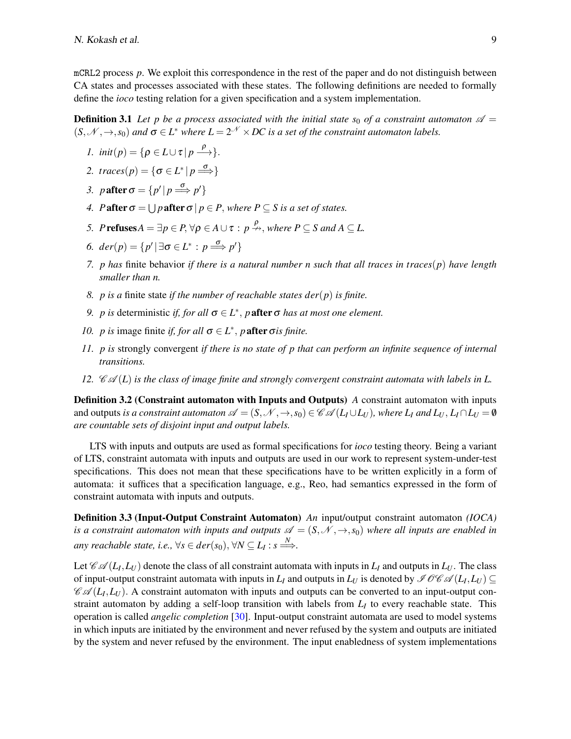mCRL2 process *p*. We exploit this correspondence in the rest of the paper and do not distinguish between CA states and processes associated with these states. The following definitions are needed to formally define the *ioco* testing relation for a given specification and a system implementation.

**Definition 3.1** Let p be a process associated with the initial state  $s_0$  of a constraint automaton  $\mathscr{A} =$  $(S, \mathcal{N}, \to, s_0)$  *and*  $\sigma \in L^*$  *where*  $L = 2^{\mathcal{N}} \times DC$  *is a set of the constraint automaton labels.* 

- *1.*  $\text{init}(p) = \{ \rho \in L \cup \tau \mid p \xrightarrow{\rho} \}.$
- 2.  $trace(p) = {\sigma \in L^* | p \stackrel{\sigma}{\Longrightarrow}}$
- *3.*  $p$  after  $\sigma = \{p' | p \stackrel{\sigma}{\Longrightarrow} p'\}$
- *4. P***after**  $\sigma = \bigcup p$  after  $\sigma | p \in P$ , where  $P \subseteq S$  is a set of states.
- *5. P* **refuses** $A = \exists p \in P, \forall p \in A \cup \tau : p \stackrel{\rho}{\nrightarrow}$ , where  $P \subseteq S$  and  $A \subseteq L$ .
- *6.*  $der(p) = \{p' | \exists \sigma \in L^* : p \stackrel{\sigma}{\Longrightarrow} p'\}$
- *7. p has* finite behavior *if there is a natural number n such that all traces in traces*(*p*) *have length smaller than n.*
- *8. p is a* finite state *if the number of reachable states der*(*p*) *is finite.*
- *9. p is* deterministic *if, for all*  $\sigma \in L^*$ , *p* after  $\sigma$  *has at most one element.*
- *10. p* is image finite *if, for all*  $\sigma \in L^*$ , *p* after  $\sigma$  *is finite.*
- *11. p is* strongly convergent *if there is no state of p that can perform an infinite sequence of internal transitions.*
- 12.  $\mathcal{C}(\mathcal{A}(L))$  *is the class of image finite and strongly convergent constraint automata with labels in L.*

Definition 3.2 (Constraint automaton with Inputs and Outputs) *A* constraint automaton with inputs and outputs *is a constraint automaton*  $\mathscr{A} = (S, \mathscr{N}, \rightarrow, s_0) \in \mathscr{C} \mathscr{A}(L_I \cup L_U)$ , where  $L_I$  and  $L_U, L_I \cap L_U = \emptyset$ *are countable sets of disjoint input and output labels.*

LTS with inputs and outputs are used as formal specifications for *ioco* testing theory. Being a variant of LTS, constraint automata with inputs and outputs are used in our work to represent system-under-test specifications. This does not mean that these specifications have to be written explicitly in a form of automata: it suffices that a specification language, e.g., Reo, had semantics expressed in the form of constraint automata with inputs and outputs.

Definition 3.3 (Input-Output Constraint Automaton) *An* input/output constraint automaton *(IOCA) is a constraint automaton with inputs and outputs*  $\mathscr{A} = (S, \mathscr{N}, \rightarrow, s_0)$  *where all inputs are enabled in*  $a$ *ny reachable state, i.e.,*  $\forall s \in der(s_0), \forall N \subseteq L_I : s \stackrel{N}{\Longrightarrow}$ .

Let  $\mathscr{C}\mathscr{A}(L_I,L_U)$  denote the class of all constraint automata with inputs in  $L_I$  and outputs in  $L_U$ . The class of input-output constraint automata with inputs in  $L_I$  and outputs in  $L_U$  is denoted by  $\mathscr{I}\mathscr{OC} \mathscr{A}(L_I,L_U) \subseteq I$  $\mathscr{CA}(L_I, L_U)$ . A constraint automaton with inputs and outputs can be converted to an input-output constraint automaton by adding a self-loop transition with labels from *L<sup>I</sup>* to every reachable state. This operation is called *angelic completion* [\[30\]](#page-16-10). Input-output constraint automata are used to model systems in which inputs are initiated by the environment and never refused by the system and outputs are initiated by the system and never refused by the environment. The input enabledness of system implementations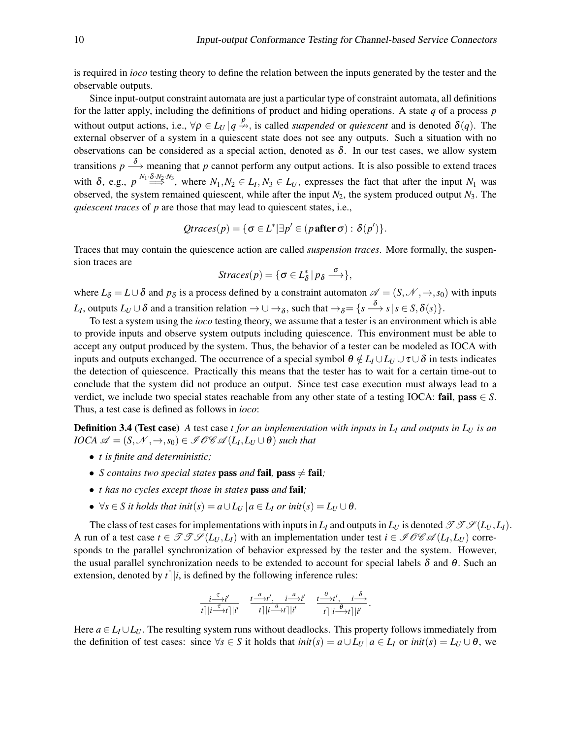is required in *ioco* testing theory to define the relation between the inputs generated by the tester and the observable outputs.

Since input-output constraint automata are just a particular type of constraint automata, all definitions for the latter apply, including the definitions of product and hiding operations. A state *q* of a process *p* without output actions, i.e.,  $\forall \rho \in L_U | q \stackrel{\rho}{\nrightarrow}$ , is called *suspended* or *quiescent* and is denoted  $\delta(q)$ . The external observer of a system in a quiescent state does not see any outputs. Such a situation with no observations can be considered as a special action, denoted as  $\delta$ . In our test cases, we allow system transitions  $p \stackrel{\delta}{\longrightarrow}$  meaning that p cannot perform any output actions. It is also possible to extend traces with  $\delta$ , e.g.,  $p^{N_1} \stackrel{\delta N_2 \cdot N_3}{\Longrightarrow}$ , where  $N_1, N_2 \in L_I, N_3 \in L_U$ , expresses the fact that after the input  $N_1$  was observed, the system remained quiescent, while after the input  $N_2$ , the system produced output  $N_3$ . The *quiescent traces* of *p* are those that may lead to quiescent states, i.e.,

$$
Qtraces(p) = \{ \sigma \in L^* | \exists p' \in (p \text{ after } \sigma) : \delta(p') \}.
$$

Traces that may contain the quiescence action are called *suspension traces*. More formally, the suspension traces are

$$
Straces(p) = \{ \sigma \in L_{\delta}^* \, | \, p_{\delta} \stackrel{\sigma}{\longrightarrow} \},
$$

where  $L_{\delta} = L \cup \delta$  and  $p_{\delta}$  is a process defined by a constraint automaton  $\mathscr{A} = (S, \mathscr{N}, \rightarrow, s_0)$  with inputs *L*<sub>*I*</sub>, outputs  $L_U \cup \delta$  and a transition relation  $\to \cup \to_{\delta}$ , such that  $\to_{\delta} = \{s \stackrel{\delta}{\longrightarrow} s | s \in S, \delta(s)\}.$ 

To test a system using the *ioco* testing theory, we assume that a tester is an environment which is able to provide inputs and observe system outputs including quiescence. This environment must be able to accept any output produced by the system. Thus, the behavior of a tester can be modeled as IOCA with inputs and outputs exchanged. The occurrence of a special symbol  $\theta \notin L_I \cup L_U \cup \tau \cup \delta$  in tests indicates the detection of quiescence. Practically this means that the tester has to wait for a certain time-out to conclude that the system did not produce an output. Since test case execution must always lead to a verdict, we include two special states reachable from any other state of a testing IOCA: **fail**, **pass**  $\in S$ . Thus, a test case is defined as follows in *ioco*:

Definition 3.4 (Test case) *A* test case *t for an implementation with inputs in L<sup>I</sup> and outputs in L<sup>U</sup> is an*  $\mathit{IOCA} \ \mathscr{A} = (S, \mathscr{N}, \rightarrow, s_0) \in \mathscr{IOCA} \ \mathscr{A}(L_I, L_U \cup \theta)$  such that

- *t is finite and deterministic;*
- *S contains two special states* **pass** *and* **fail**, **pass**  $\neq$  **fail***;*
- *t has no cycles except those in states* pass *and* fail*;*
- $\bullet \ \forall s \in S \text{ it holds that } init(s) = a \cup L_U \, | \, a \in L_I \text{ or } init(s) = L_U \cup \theta.$

The class of test cases for implementations with inputs in  $L_I$  and outputs in  $L_U$  is denoted  $\mathcal{TPI}(L_U, L_I)$ . A run of a test case  $t \in \mathcal{TPI}(L_U, L_I)$  with an implementation under test  $i \in \mathcal{IOCAL}(L_I, L_U)$  corresponds to the parallel synchronization of behavior expressed by the tester and the system. However, the usual parallel synchronization needs to be extended to account for special labels  $\delta$  and  $\theta$ . Such an extension, denoted by  $t||i$ , is defined by the following inference rules:

$$
\frac{i\xrightarrow{\tau}i'}{t\,|\,|i\xrightarrow{\tau}t\,|\,|i'}\quad \frac{t\xrightarrow{a}t',\quad i\xrightarrow{a}i'}{t\,|\,|i\xrightarrow{a}t\,|\,|i'}\quad \frac{t\xrightarrow{\theta}t',\quad i\xrightarrow{\delta}}{t\,|\,|i\xrightarrow{\theta}t\,|\,|i'}.
$$

Here  $a \in L_1 \cup L_1$ . The resulting system runs without deadlocks. This property follows immediately from the definition of test cases: since  $\forall s \in S$  it holds that  $init(s) = a \cup L_U | a \in L_I$  or  $init(s) = L_U \cup \theta$ , we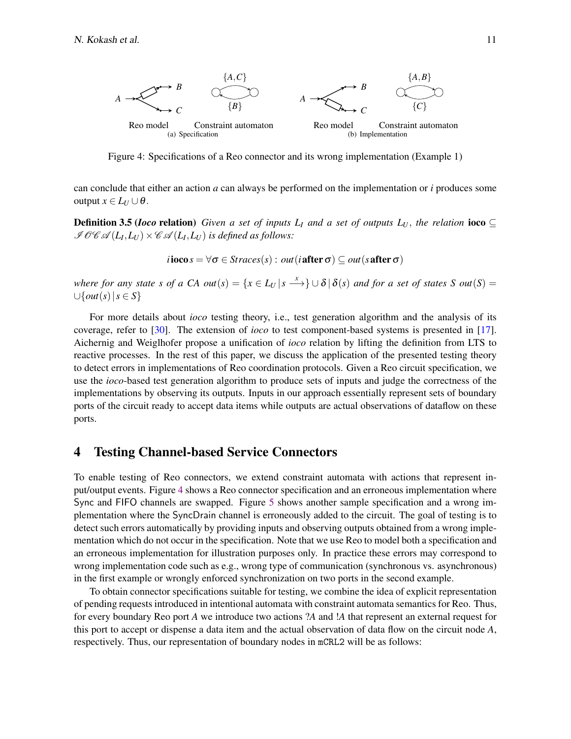

<span id="page-10-1"></span>Figure 4: Specifications of a Reo connector and its wrong implementation (Example 1)

can conclude that either an action *a* can always be performed on the implementation or *i* produces some output *x* ∈ *L<sup>U</sup>* ∪θ.

**Definition 3.5 (***Ioco* **relation**) *Given a set of inputs L<sub>I</sub> and a set of outputs L<sub>U</sub>, the relation ioco*  $\subseteq$ I OC  $\mathscr{A}(L_I,L_U) \times \mathscr{CA}(L_I,L_U)$  is defined as follows:

 $i$ **ioco** $s = \forall \sigma \in \text{Straces}(s) : \text{out}(i \text{ after } \sigma) \subseteq \text{out}(s \text{ after } \sigma)$ 

*where for any state s of a CA out*( $s$ ) = { $x \in L_U | s \longrightarrow$ } ∪  $\delta | \delta(s)$  *and for a set of states S out*( $S$ ) = ∪{*out*(*s*)|*s* ∈ *S*}

For more details about *ioco* testing theory, i.e., test generation algorithm and the analysis of its coverage, refer to [\[30\]](#page-16-10). The extension of *ioco* to test component-based systems is presented in [\[17\]](#page-16-12). Aichernig and Weiglhofer propose a unification of *ioco* relation by lifting the definition from LTS to reactive processes. In the rest of this paper, we discuss the application of the presented testing theory to detect errors in implementations of Reo coordination protocols. Given a Reo circuit specification, we use the *ioco*-based test generation algorithm to produce sets of inputs and judge the correctness of the implementations by observing its outputs. Inputs in our approach essentially represent sets of boundary ports of the circuit ready to accept data items while outputs are actual observations of dataflow on these ports.

### <span id="page-10-0"></span>4 Testing Channel-based Service Connectors

To enable testing of Reo connectors, we extend constraint automata with actions that represent input/output events. Figure [4](#page-10-1) shows a Reo connector specification and an erroneous implementation where Sync and FIFO channels are swapped. Figure [5](#page-11-0) shows another sample specification and a wrong implementation where the SyncDrain channel is erroneously added to the circuit. The goal of testing is to detect such errors automatically by providing inputs and observing outputs obtained from a wrong implementation which do not occur in the specification. Note that we use Reo to model both a specification and an erroneous implementation for illustration purposes only. In practice these errors may correspond to wrong implementation code such as e.g., wrong type of communication (synchronous vs. asynchronous) in the first example or wrongly enforced synchronization on two ports in the second example.

To obtain connector specifications suitable for testing, we combine the idea of explicit representation of pending requests introduced in intentional automata with constraint automata semantics for Reo. Thus, for every boundary Reo port *A* we introduce two actions ?*A* and !*A* that represent an external request for this port to accept or dispense a data item and the actual observation of data flow on the circuit node *A*, respectively. Thus, our representation of boundary nodes in mCRL2 will be as follows: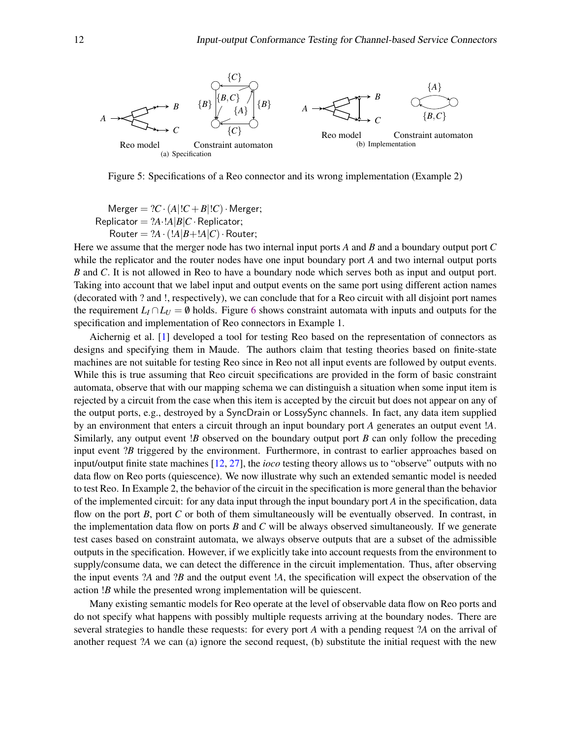

<span id="page-11-0"></span>Figure 5: Specifications of a Reo connector and its wrong implementation (Example 2)

 $M$ erger =  $?C \cdot (A|!C + B|!C) \cdot M$ erger; Replicator =  $?A \cdot A|B|C \cdot$  Replicator; Router =  $?A \cdot (!A|B + !A|C) \cdot$  Router;

Here we assume that the merger node has two internal input ports *A* and *B* and a boundary output port *C* while the replicator and the router nodes have one input boundary port *A* and two internal output ports *B* and *C*. It is not allowed in Reo to have a boundary node which serves both as input and output port. Taking into account that we label input and output events on the same port using different action names (decorated with ? and !, respectively), we can conclude that for a Reo circuit with all disjoint port names the requirement  $L_I \cap L_U = \emptyset$  holds. Figure [6](#page-12-0) shows constraint automata with inputs and outputs for the specification and implementation of Reo connectors in Example 1.

Aichernig et al. [\[1\]](#page-15-11) developed a tool for testing Reo based on the representation of connectors as designs and specifying them in Maude. The authors claim that testing theories based on finite-state machines are not suitable for testing Reo since in Reo not all input events are followed by output events. While this is true assuming that Reo circuit specifications are provided in the form of basic constraint automata, observe that with our mapping schema we can distinguish a situation when some input item is rejected by a circuit from the case when this item is accepted by the circuit but does not appear on any of the output ports, e.g., destroyed by a SyncDrain or LossySync channels. In fact, any data item supplied by an environment that enters a circuit through an input boundary port *A* generates an output event !*A*. Similarly, any output event !*B* observed on the boundary output port *B* can only follow the preceding input event ?*B* triggered by the environment. Furthermore, in contrast to earlier approaches based on input/output finite state machines [\[12,](#page-15-12) [27\]](#page-16-13), the *ioco* testing theory allows us to "observe" outputs with no data flow on Reo ports (quiescence). We now illustrate why such an extended semantic model is needed to test Reo. In Example 2, the behavior of the circuit in the specification is more general than the behavior of the implemented circuit: for any data input through the input boundary port *A* in the specification, data flow on the port *B*, port *C* or both of them simultaneously will be eventually observed. In contrast, in the implementation data flow on ports *B* and *C* will be always observed simultaneously. If we generate test cases based on constraint automata, we always observe outputs that are a subset of the admissible outputs in the specification. However, if we explicitly take into account requests from the environment to supply/consume data, we can detect the difference in the circuit implementation. Thus, after observing the input events ?*A* and ?*B* and the output event !*A*, the specification will expect the observation of the action !*B* while the presented wrong implementation will be quiescent.

Many existing semantic models for Reo operate at the level of observable data flow on Reo ports and do not specify what happens with possibly multiple requests arriving at the boundary nodes. There are several strategies to handle these requests: for every port *A* with a pending request ?*A* on the arrival of another request ?*A* we can (a) ignore the second request, (b) substitute the initial request with the new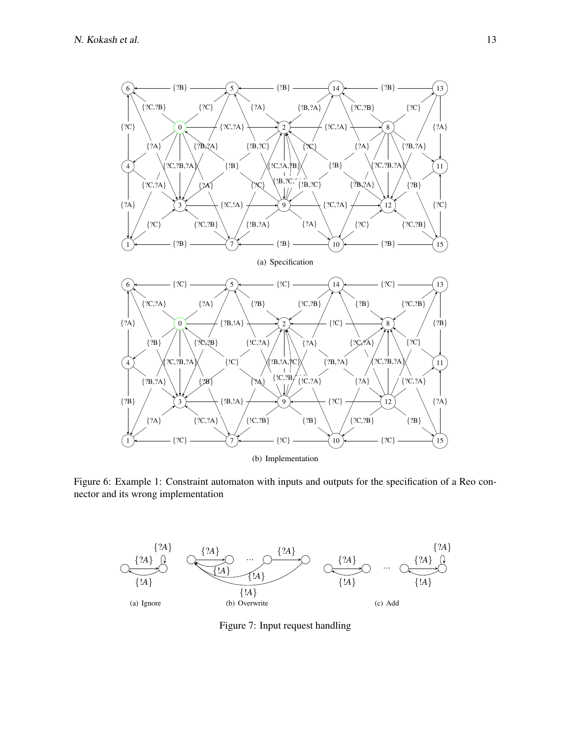

<span id="page-12-0"></span>Figure 6: Example 1: Constraint automaton with inputs and outputs for the specification of a Reo connector and its wrong implementation



<span id="page-12-1"></span>Figure 7: Input request handling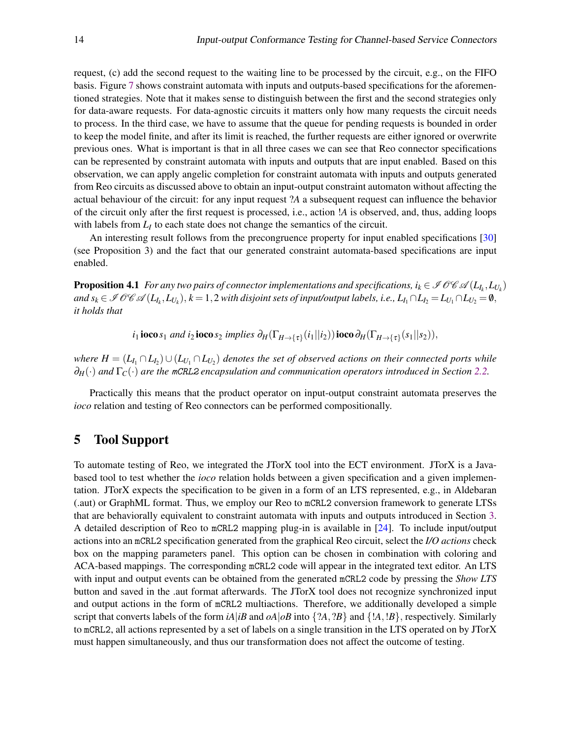request, (c) add the second request to the waiting line to be processed by the circuit, e.g., on the FIFO basis. Figure [7](#page-12-1) shows constraint automata with inputs and outputs-based specifications for the aforementioned strategies. Note that it makes sense to distinguish between the first and the second strategies only for data-aware requests. For data-agnostic circuits it matters only how many requests the circuit needs to process. In the third case, we have to assume that the queue for pending requests is bounded in order to keep the model finite, and after its limit is reached, the further requests are either ignored or overwrite previous ones. What is important is that in all three cases we can see that Reo connector specifications can be represented by constraint automata with inputs and outputs that are input enabled. Based on this observation, we can apply angelic completion for constraint automata with inputs and outputs generated from Reo circuits as discussed above to obtain an input-output constraint automaton without affecting the actual behaviour of the circuit: for any input request ?*A* a subsequent request can influence the behavior of the circuit only after the first request is processed, i.e., action !*A* is observed, and, thus, adding loops with labels from  $L_I$  to each state does not change the semantics of the circuit.

An interesting result follows from the precongruence property for input enabled specifications [\[30\]](#page-16-10) (see Proposition 3) and the fact that our generated constraint automata-based specifications are input enabled.

**Proposition 4.1** *For any two pairs of connector implementations and specifications,*  $i_k \in \mathscr{I}$  *OC*  $\mathscr{A}(L_{I_k},L_{U_k})$ and  $s_k\in\mathscr{I}$  OC  $\mathscr{A}(L_{I_k},L_{U_k}),$   $k=1,2$  with disjoint sets of input/output labels, i.e.,  $L_{I_1}\cap L_{I_2}=L_{U_1}\cap L_{U_2}=\emptyset$ , *it holds that*

 $i_1$  ioco $s_1$  *and i*2 ioco $s_2$  *implies*  $\partial_H(\Gamma_{H \to \{\tau\}}(i_1 || i_2))$  ioco  $\partial_H(\Gamma_{H \to \{\tau\}}(s_1 || s_2)),$ 

where  $H=(L_{I_1}\cap L_{I_2})\cup (L_{U_1}\cap L_{U_2})$  denotes the set of observed actions on their connected ports while ∂*H*(·) *and* Γ*C*(·) *are the* mCRL2 *encapsulation and communication operators introduced in Section [2.2.](#page-4-1)*

Practically this means that the product operator on input-output constraint automata preserves the *ioco* relation and testing of Reo connectors can be performed compositionally.

# <span id="page-13-0"></span>5 Tool Support

To automate testing of Reo, we integrated the JTorX tool into the ECT environment. JTorX is a Javabased tool to test whether the *ioco* relation holds between a given specification and a given implementation. JTorX expects the specification to be given in a form of an LTS represented, e.g., in Aldebaran (.aut) or GraphML format. Thus, we employ our Reo to mCRL2 conversion framework to generate LTSs that are behaviorally equivalent to constraint automata with inputs and outputs introduced in Section [3.](#page-7-0) A detailed description of Reo to mCRL2 mapping plug-in is available in [\[24\]](#page-16-4). To include input/output actions into an mCRL2 specification generated from the graphical Reo circuit, select the *I/O actions* check box on the mapping parameters panel. This option can be chosen in combination with coloring and ACA-based mappings. The corresponding mCRL2 code will appear in the integrated text editor. An LTS with input and output events can be obtained from the generated mCRL2 code by pressing the *Show LTS* button and saved in the .aut format afterwards. The JTorX tool does not recognize synchronized input and output actions in the form of mCRL2 multiactions. Therefore, we additionally developed a simple script that converts labels of the form  $iA|iB$  and  $oA|oB$  into  $\{?A, ?B\}$  and  $\{'.A, !B\}$ , respectively. Similarly to mCRL2, all actions represented by a set of labels on a single transition in the LTS operated on by JTorX must happen simultaneously, and thus our transformation does not affect the outcome of testing.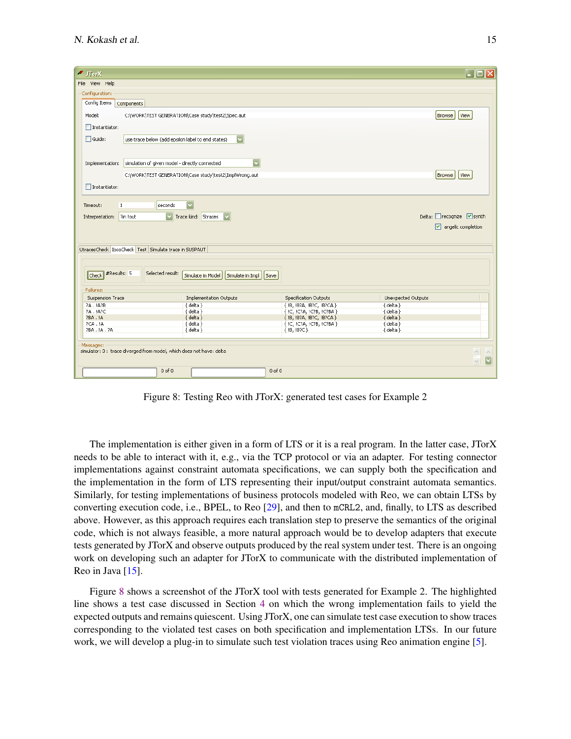| $\sqrt{10}$                                                                                  |                                                |                           | $\Box$ olx                              |  |  |  |
|----------------------------------------------------------------------------------------------|------------------------------------------------|---------------------------|-----------------------------------------|--|--|--|
| File View Help                                                                               |                                                |                           |                                         |  |  |  |
| Configuration:                                                                               |                                                |                           |                                         |  |  |  |
| Config Items<br>Components                                                                   |                                                |                           |                                         |  |  |  |
|                                                                                              |                                                |                           |                                         |  |  |  |
| Model:<br>C:\WORK\TEST GENERATION\Case study\test2\Spec.aut                                  |                                                |                           | View<br>Browse                          |  |  |  |
| Instantiator:                                                                                |                                                |                           |                                         |  |  |  |
|                                                                                              |                                                |                           |                                         |  |  |  |
| Guide:<br>$\overline{\mathbf{v}}$<br>use trace below (add epsilon label to end states)       |                                                |                           |                                         |  |  |  |
|                                                                                              |                                                |                           |                                         |  |  |  |
|                                                                                              |                                                |                           |                                         |  |  |  |
| $\overline{\mathbf{v}}$<br>simulation of given model - directly connected<br>Implementation: |                                                |                           |                                         |  |  |  |
| View<br>C:\WORK\TEST GENERATION\Case study\test2\ImplWrong.aut<br>Browse                     |                                                |                           |                                         |  |  |  |
| Instantiator:                                                                                |                                                |                           |                                         |  |  |  |
|                                                                                              |                                                |                           |                                         |  |  |  |
|                                                                                              |                                                |                           |                                         |  |  |  |
| $1\,$<br>seconds<br>Timeout:                                                                 | $\overline{\textbf{v}}$                        |                           |                                         |  |  |  |
| 7in lout<br>Interpretation:                                                                  | $\overline{\mathbf{v}}$<br>Trace kind: Straces |                           | Delta: Precognize V synth               |  |  |  |
|                                                                                              |                                                |                           | $\boxed{\checkmark}$ angelic completion |  |  |  |
|                                                                                              |                                                |                           |                                         |  |  |  |
|                                                                                              |                                                |                           |                                         |  |  |  |
| UtracesCheck   IocoCheck   Test   Simulate trace in SUSPAUT                                  |                                                |                           |                                         |  |  |  |
|                                                                                              |                                                |                           |                                         |  |  |  |
|                                                                                              |                                                |                           |                                         |  |  |  |
| #Results: 5<br>Selected result:<br>Check                                                     | Simulate in Model<br>Simulate in Impl   Save   |                           |                                         |  |  |  |
|                                                                                              |                                                |                           |                                         |  |  |  |
| Failures:                                                                                    |                                                |                           |                                         |  |  |  |
| Suspension Trace                                                                             | Implementation Outputs                         | Specification Outputs     | Unexpected Outputs                      |  |  |  |
| ?A. !A?B                                                                                     | $\{$ delta $\}$                                | { !B, !B?A, !B?C, !B?CA } | ${dela}$                                |  |  |  |
| 7A . IA?C                                                                                    | { delta }                                      | {IC, IC?A, IC?B, IC?BA}   | { delta }                               |  |  |  |
| ?BA . !A                                                                                     | $\{$ delta $\}$                                | { !B, !B?A, !B?C, !B?CA } | ${dela}$                                |  |  |  |
| ?CA . !A                                                                                     | { delta }                                      | { IC, IC?A, IC?B, IC?BA } | { delta }                               |  |  |  |
| 7BA . IA . 7A                                                                                | ${dela}$                                       | ${IB, IB7C}$              | ${dela}$                                |  |  |  |
| Messages:                                                                                    |                                                |                           |                                         |  |  |  |
| simulator: 3 : trace diverged from model, which does not have: delta<br>$\wedge$             |                                                |                           |                                         |  |  |  |
| $\overline{\vee}$<br>$\overline{\phantom{0}}$                                                |                                                |                           |                                         |  |  |  |
|                                                                                              |                                                |                           |                                         |  |  |  |
| $0$ of $0$<br>$0$ of $0$                                                                     |                                                |                           |                                         |  |  |  |
|                                                                                              |                                                |                           |                                         |  |  |  |

<span id="page-14-0"></span>Figure 8: Testing Reo with JTorX: generated test cases for Example 2

The implementation is either given in a form of LTS or it is a real program. In the latter case, JTorX needs to be able to interact with it, e.g., via the TCP protocol or via an adapter. For testing connector implementations against constraint automata specifications, we can supply both the specification and the implementation in the form of LTS representing their input/output constraint automata semantics. Similarly, for testing implementations of business protocols modeled with Reo, we can obtain LTSs by converting execution code, i.e., BPEL, to Reo [\[29\]](#page-16-14), and then to mCRL2, and, finally, to LTS as described above. However, as this approach requires each translation step to preserve the semantics of the original code, which is not always feasible, a more natural approach would be to develop adapters that execute tests generated by JTorX and observe outputs produced by the real system under test. There is an ongoing work on developing such an adapter for JTorX to communicate with the distributed implementation of Reo in Java  $[15]$ .

Figure [8](#page-14-0) shows a screenshot of the JTorX tool with tests generated for Example 2. The highlighted line shows a test case discussed in Section [4](#page-10-0) on which the wrong implementation fails to yield the expected outputs and remains quiescent. Using JTorX, one can simulate test case execution to show traces corresponding to the violated test cases on both specification and implementation LTSs. In our future work, we will develop a plug-in to simulate such test violation traces using Reo animation engine [\[5\]](#page-15-6).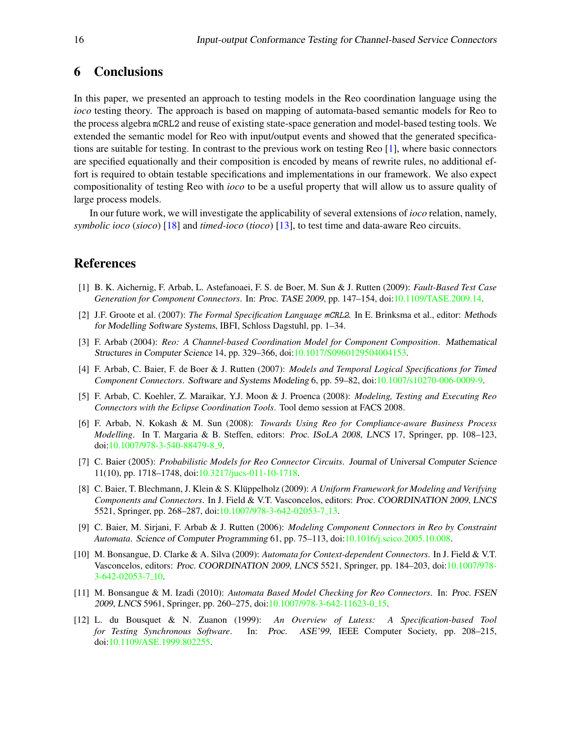# <span id="page-15-10"></span>6 Conclusions

In this paper, we presented an approach to testing models in the Reo coordination language using the *ioco* testing theory. The approach is based on mapping of automata-based semantic models for Reo to the process algebra mCRL2 and reuse of existing state-space generation and model-based testing tools. We extended the semantic model for Reo with input/output events and showed that the generated specifications are suitable for testing. In contrast to the previous work on testing Reo [\[1\]](#page-15-11), where basic connectors are specified equationally and their composition is encoded by means of rewrite rules, no additional effort is required to obtain testable specifications and implementations in our framework. We also expect compositionality of testing Reo with *ioco* to be a useful property that will allow us to assure quality of large process models.

In our future work, we will investigate the applicability of several extensions of *ioco* relation, namely, *symbolic ioco* (*sioco*) [\[18\]](#page-16-16) and *timed-ioco* (*tioco*) [\[13\]](#page-16-17), to test time and data-aware Reo circuits.

# References

- <span id="page-15-11"></span>[1] B. K. Aichernig, F. Arbab, L. Astefanoaei, F. S. de Boer, M. Sun & J. Rutten (2009): *Fault-Based Test Case Generation for Component Connectors*. In: Proc. TASE 2009, pp. 147–154, doi[:10.1109/TASE.2009.14.](http://dx.doi.org/10.1109/TASE.2009.14)
- <span id="page-15-9"></span>[2] J.F. Groote et al. (2007): *The Formal Specification Language* mCRL2. In E. Brinksma et al., editor: Methods for Modelling Software Systems, IBFI, Schloss Dagstuhl, pp. 1–34.
- <span id="page-15-0"></span>[3] F. Arbab (2004): *Reo: A Channel-based Coordination Model for Component Composition*. Mathematical Structures in Computer Science 14, pp. 329–366, doi[:10.1017/S0960129504004153.](http://dx.doi.org/10.1017/S0960129504004153)
- <span id="page-15-3"></span>[4] F. Arbab, C. Baier, F. de Boer & J. Rutten (2007): *Models and Temporal Logical Specifications for Timed Component Connectors*. Software and Systems Modeling 6, pp. 59–82, doi[:10.1007/s10270-006-0009-9.](http://dx.doi.org/10.1007/s10270-006-0009-9)
- <span id="page-15-6"></span>[5] F. Arbab, C. Koehler, Z. Maraikar, Y.J. Moon & J. Proenca (2008): *Modeling, Testing and Executing Reo Connectors with the Eclipse Coordination Tools*. Tool demo session at FACS 2008.
- <span id="page-15-1"></span>[6] F. Arbab, N. Kokash & M. Sun (2008): *Towards Using Reo for Compliance-aware Business Process Modelling*. In T. Margaria & B. Steffen, editors: Proc. ISoLA 2008, LNCS 17, Springer, pp. 108–123, doi[:10.1007/978-3-540-88479-8](http://dx.doi.org/10.1007/978-3-540-88479-8$_$9) 9.
- <span id="page-15-4"></span>[7] C. Baier (2005): *Probabilistic Models for Reo Connector Circuits*. Journal of Universal Computer Science 11(10), pp. 1718–1748, doi[:10.3217/jucs-011-10-1718.](http://dx.doi.org/10.3217/jucs-011-10-1718)
- <span id="page-15-7"></span>[8] C. Baier, T. Blechmann, J. Klein & S. Klüppelholz (2009): A Uniform Framework for Modeling and Verifying *Components and Connectors*. In J. Field & V.T. Vasconcelos, editors: Proc. COORDINATION 2009, LNCS 5521, Springer, pp. 268–287, doi[:10.1007/978-3-642-02053-7](http://dx.doi.org/10.1007/978-3-642-02053-7$_$13) 13.
- <span id="page-15-2"></span>[9] C. Baier, M. Sirjani, F. Arbab & J. Rutten (2006): *Modeling Component Connectors in Reo by Constraint Automata*. Science of Computer Programming 61, pp. 75–113, doi[:10.1016/j.scico.2005.10.008.](http://dx.doi.org/10.1016/j.scico.2005.10.008)
- <span id="page-15-5"></span>[10] M. Bonsangue, D. Clarke & A. Silva (2009): *Automata for Context-dependent Connectors*. In J. Field & V.T. Vasconcelos, editors: Proc. COORDINATION 2009, LNCS 5521, Springer, pp. 184–203, doi[:10.1007/978-](http://dx.doi.org/10.1007/978-3-642-02053-7$_$10) [3-642-02053-7](http://dx.doi.org/10.1007/978-3-642-02053-7$_$10) 10.
- <span id="page-15-8"></span>[11] M. Bonsangue & M. Izadi (2010): *Automata Based Model Checking for Reo Connectors*. In: Proc. FSEN 2009, LNCS 5961, Springer, pp. 260–275, doi[:10.1007/978-3-642-11623-0](http://dx.doi.org/10.1007/978-3-642-11623-0$_$15) 15.
- <span id="page-15-12"></span>[12] L. du Bousquet & N. Zuanon (1999): *An Overview of Lutess: A Specification-based Tool for Testing Synchronous Software*. In: Proc. ASE'99, IEEE Computer Society, pp. 208–215, doi[:10.1109/ASE.1999.802255.](http://dx.doi.org/10.1109/ASE.1999.802255)